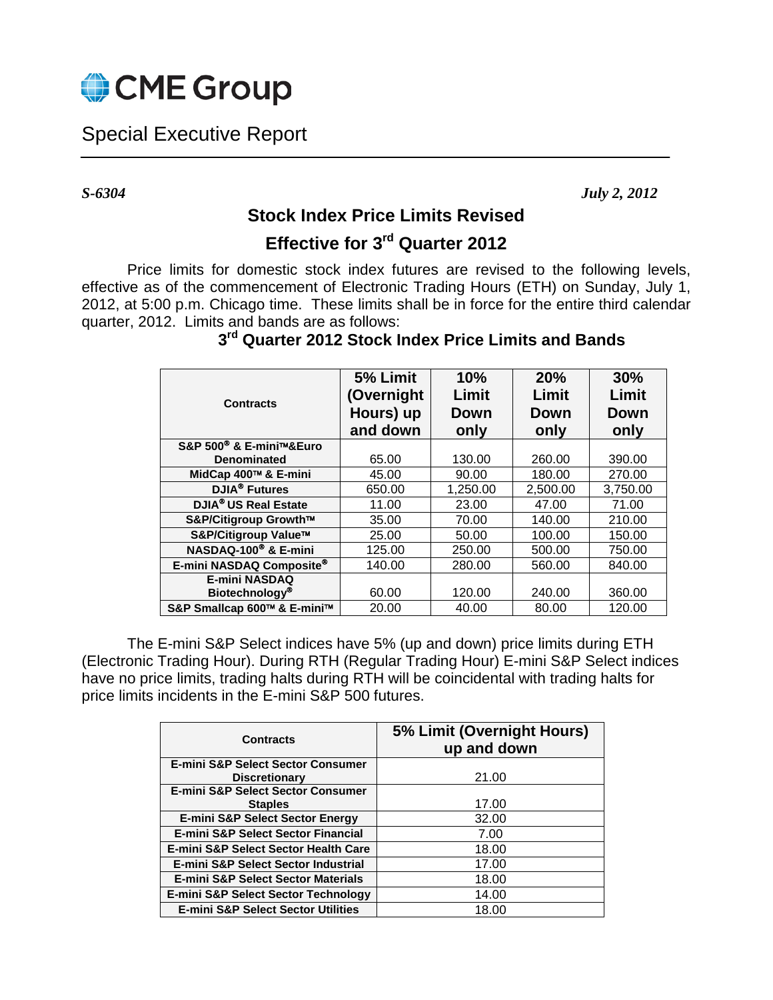

Special Executive Report

*S-6304 July 2, 2012*

## **Stock Index Price Limits Revised**

## **Effective for 3rd Quarter 2012**

Price limits for domestic stock index futures are revised to the following levels, effective as of the commencement of Electronic Trading Hours (ETH) on Sunday, July 1, 2012, at 5:00 p.m. Chicago time. These limits shall be in force for the entire third calendar quarter, 2012. Limits and bands are as follows:

| <b>Contracts</b>                    | 5% Limit<br>(Overnight<br>Hours) up<br>and down | 10%<br>Limit<br>Down<br>only | 20%<br>Limit<br><b>Down</b><br>only | 30%<br>Limit<br>Down<br>only |
|-------------------------------------|-------------------------------------------------|------------------------------|-------------------------------------|------------------------------|
| S&P 500 <sup>®</sup> & E-mini™&Euro |                                                 |                              |                                     |                              |
| <b>Denominated</b>                  | 65.00                                           | 130.00                       | 260.00                              | 390.00                       |
| MidCap 400™ & E-mini                | 45.00                                           | 90.00                        | 180.00                              | 270.00                       |
| <b>DJIA®</b> Futures                | 650.00                                          | 1,250.00                     | 2,500.00                            | 3,750.00                     |
| DJIA <sup>®</sup> US Real Estate    | 11.00                                           | 23.00                        | 47.00                               | 71.00                        |
| S&P/Citigroup Growth™               | 35.00                                           | 70.00                        | 140.00                              | 210.00                       |
| S&P/Citigroup Value™                | 25.00                                           | 50.00                        | 100.00                              | 150.00                       |
| NASDAQ-100 <sup>®</sup> & E-mini    | 125.00                                          | 250.00                       | 500.00                              | 750.00                       |
| E-mini NASDAQ Composite®            | 140.00                                          | 280.00                       | 560.00                              | 840.00                       |
| <b>E-mini NASDAQ</b>                |                                                 |                              |                                     |                              |
| <b>Biotechnology®</b>               | 60.00                                           | 120.00                       | 240.00                              | 360.00                       |
| S&P Smallcap 600™ & E-mini™         | 20.00                                           | 40.00                        | 80.00                               | 120.00                       |

## **3rd Quarter 2012 Stock Index Price Limits and Bands**

The E-mini S&P Select indices have 5% (up and down) price limits during ETH (Electronic Trading Hour). During RTH (Regular Trading Hour) E-mini S&P Select indices have no price limits, trading halts during RTH will be coincidental with trading halts for price limits incidents in the E-mini S&P 500 futures.

| <b>Contracts</b>                                | 5% Limit (Overnight Hours)<br>up and down |  |  |
|-------------------------------------------------|-------------------------------------------|--|--|
| E-mini S&P Select Sector Consumer               |                                           |  |  |
| <b>Discretionary</b>                            | 21.00                                     |  |  |
| <b>E-mini S&amp;P Select Sector Consumer</b>    |                                           |  |  |
| <b>Staples</b>                                  | 17.00                                     |  |  |
| <b>E-mini S&amp;P Select Sector Energy</b>      | 32.00                                     |  |  |
| <b>E-mini S&amp;P Select Sector Financial</b>   | 7.00                                      |  |  |
| <b>E-mini S&amp;P Select Sector Health Care</b> | 18.00                                     |  |  |
| E-mini S&P Select Sector Industrial             | 17.00                                     |  |  |
| <b>E-mini S&amp;P Select Sector Materials</b>   | 18.00                                     |  |  |
| <b>E-mini S&amp;P Select Sector Technology</b>  | 14.00                                     |  |  |
| <b>E-mini S&amp;P Select Sector Utilities</b>   | 18.00                                     |  |  |